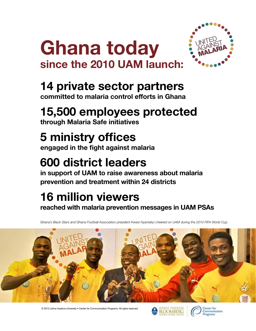



## **14 private sector partners**

**committed to malaria control efforts in Ghana**

# **15,500 employees protected**

**through Malaria Safe initiatives**

# **5 ministry offices**

**engaged in the fight against malaria** 

# **600 district leaders**

**in support of UAM to raise awareness about malaria prevention and treatment within 24 districts**

# **16 million viewers**

**reached with malaria prevention messages in UAM PSAs**

*Ghana's Black Stars and Ghana Football Association president Kwesi Nyantakyi cheered on UAM during the 2010 FIFA World Cup.* 



© 2013 Johns Hopkins University • Center for Communication Programs. All rights reserved.



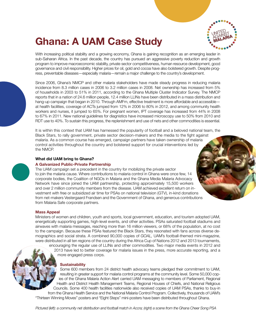## **Ghana: A UAM Case Study**



With increasing political stability and a growing economy, Ghana is gaining recognition as an emerging leader in sub-Saharan Africa. In the past decade, the country has pursued an aggressive poverty reduction and growth program to improve macroeconomic stability, private sector competitiveness, human resource development, good governance and civil responsibility. Higher prices for oil, gold and cocoa have also bolstered growth. Despite progress, preventable diseases—especially malaria—remain a major challenge to the country's development.

Since 2006, Ghana's NMCP and other malaria stakeholders have made steady progress in reducing malaria incidence from 8.3 million cases in 2006 to 3.2 million cases in 2008. Net ownership has increased from 5% of households in 2003 to 51% in 2011, according to the Ghana Multiple Cluster Indicator Survey. The NMCP reports that in a nation of 24.6 million people, 12.4 million LLINs have been distributed in a mass distribution and hang-up campaign that began in 2010. Through AMFm, effective treatment is more affordable and accessible at health facilities, coverage of ACTs jumped from 12% in 2006 to 80% in 2012, and among community health workers and nurses, it jumped to 65%. For pregnant women, IPT coverage has increased from 44% in 2008 to 67% in 2011. New national guidelines for diagnistics have increased microscopy use to 50% from 2010 and RDT use to 40%. To sustain this progress, the replenishment and use of nets and other commodities is essential.

It is within this context that UAM has harnessed the popularity of football and a beloved national team, the Black Stars, to rally government, private sector decision-makers and the media to the fight against malaria. As a common course has emerged, campaign partners have taken ownership of malaria control activities throughout the country and bolstered support for crucial interventions led by the NMCP.

#### **What did UAM bring to Ghana?**

#### **A Galvanized Public-Private Partnership**

The UAM campaign set a precedent in the country for mobilizing the private sector to join the malaria cause. Where contributions to malaria control in Ghana were once few, 14 corporate bodies, the Coalition of NGOs in Malaria and the Ghana Media Malaria Advocacy Network have since joined the UAM partnership, protecting approximately 15,500 workers and over 2 million community members from the disease. UAM achieved excellent return on investment with free or subsidized air time for PSAs on national television (GTV), in-kind donations from net-makers Vestergaard Frandsen and the Government of Ghana, and generous contributions from Malaria Safe corporate partners.

#### **Mass Appeal**

Ministers of women and children, youth and sports, local government, education, and tourism adopted UAM, energetically supporting games, high-level events, and other activities. PSAs saturated football stadiums and airwaves with malaria messages, reaching more than 16 million viewers, or 68% of the population, at no cost to the campaign. Because these PSAs featured the Black Stars, they resonated with fans across diverse demographics and social strata. A combined 90,000 copies of *GOAL,* UAM's football-themed mini-magazine, were distributed in all ten regions of the country during the Africa Cup of Nations 2012 and 2013 tournaments,

encouraging the regular use of LLINs and other commodities. Two major media events in 2012 and 2013 have led to better coverage for malaria issues in the press, more accurate reporting, and a more engaged press corps.

#### **Sustainability**

Some 600 members from 24 district health advocacy teams pledged their commitment to UAM, resulting in greater support for malaria control programs at the community level. Some 50,000 copies of the Ghana Malaria Action Alert carried UAM messaging to members of Parliament, Regional Health and District Health Management Teams, Regional Houses of Chiefs, and National Religious Councils. Some 400 health facilities nationwide also received copies of UAM PSAs, thanks to buy-in from the Ghana Health Service and the National Malaria Control Program. Collectively, thousands of UAM's "Thirteen Winning Moves" posters and "Eight Steps" mini-posters have been distributed throughout Ghana.

*Pictured (left): a community net distribution and football match in Accra; (right) a scene from the Ghana Cheer Song PSA*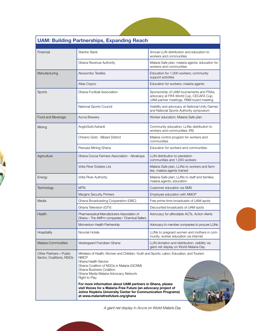| Financial                                         | Stanbic Bank                                                                                                                                                                                                                                                                                                                                                                                                                                                                                         | Annual LLIN distribution and education to<br>workers and communities                                                           |
|---------------------------------------------------|------------------------------------------------------------------------------------------------------------------------------------------------------------------------------------------------------------------------------------------------------------------------------------------------------------------------------------------------------------------------------------------------------------------------------------------------------------------------------------------------------|--------------------------------------------------------------------------------------------------------------------------------|
|                                                   | Ghana Revenue Authority                                                                                                                                                                                                                                                                                                                                                                                                                                                                              | Malaria Safe plan; malaria agents; education for<br>workers and communities                                                    |
| Manufacturing                                     | Akosombo Textiles                                                                                                                                                                                                                                                                                                                                                                                                                                                                                    | Education for 1,000 workers; community<br>support activities                                                                   |
|                                                   | Atlas Copco                                                                                                                                                                                                                                                                                                                                                                                                                                                                                          | Education for workers; malaria agents                                                                                          |
| Sports                                            | Ghana Football Association                                                                                                                                                                                                                                                                                                                                                                                                                                                                           | Sponsorship of UAM tournaments and PSAs;<br>advocacy at FIFA World Cup, CECAFA Cup,<br>UAM partner meetings, RBM board meeting |
|                                                   | National Sports Council                                                                                                                                                                                                                                                                                                                                                                                                                                                                              | Visibility and advocacy at National Unity Games<br>and National Sports Authority symposium                                     |
| Food and Beverage                                 | Accra Brewery                                                                                                                                                                                                                                                                                                                                                                                                                                                                                        | Worker education; Malaria Safe plan                                                                                            |
| Mining                                            | AngloGold Ashanti                                                                                                                                                                                                                                                                                                                                                                                                                                                                                    | Community education; LLINs distribution to<br>workers and communities; IRS                                                     |
|                                                   | Chirano Gold - Bibiani District                                                                                                                                                                                                                                                                                                                                                                                                                                                                      | Malaria control program for workers and<br>communities                                                                         |
|                                                   | Persues Mining Ghana                                                                                                                                                                                                                                                                                                                                                                                                                                                                                 | Education for workers and communities                                                                                          |
| Agriculture                                       | Ghana Cocoa Farmers Association - Abrabopa                                                                                                                                                                                                                                                                                                                                                                                                                                                           | LLIN distribution to plantation<br>communities and 1,000 workers                                                               |
|                                                   | Volta River Estates Ltd.                                                                                                                                                                                                                                                                                                                                                                                                                                                                             | Malaria Safe plan, LLINs to workers and fami-<br>lies, malaria agents trained                                                  |
| Energy                                            | Volta River Authority                                                                                                                                                                                                                                                                                                                                                                                                                                                                                | Malaria Safe plan; LLINs to staff and families;<br>malaria agents; education                                                   |
| Technology                                        | <b>MTN</b>                                                                                                                                                                                                                                                                                                                                                                                                                                                                                           | Customer education via SMS                                                                                                     |
|                                                   | <b>Margins Security Printers</b>                                                                                                                                                                                                                                                                                                                                                                                                                                                                     | Employee education with NMCP                                                                                                   |
| Media                                             | Ghana Broadcasting Cooperation (GBC)                                                                                                                                                                                                                                                                                                                                                                                                                                                                 | Free prime-time broadcasts of UAM spots                                                                                        |
|                                                   | Ghana Television (GTV)                                                                                                                                                                                                                                                                                                                                                                                                                                                                               | Discounted broadcasts of UAM spots                                                                                             |
| Health                                            | Pharmaceutical Manufacturers Association of<br>Ghana - The AMFm companies / Chemical Sellers                                                                                                                                                                                                                                                                                                                                                                                                         | Advocacy for affordable ACTs, Action Alerts                                                                                    |
|                                                   | Momentum Health Partnership                                                                                                                                                                                                                                                                                                                                                                                                                                                                          | Advocacy to member companies to procure LLINs                                                                                  |
| Hospitality                                       | Novotel Hotels                                                                                                                                                                                                                                                                                                                                                                                                                                                                                       | LLINs to pregnant women and mothers in com-<br>munity; worker education via internet                                           |
| <b>Malaria Commodities</b>                        | Vestergaard Frandsen Ghana                                                                                                                                                                                                                                                                                                                                                                                                                                                                           | LLIN donation and distribution; visibility via<br>giant net display on World Malaria Day                                       |
| Other Partners-Public<br>Sector, Coalitions, NGOs | Ministers of Health; Women and Children; Youth and Sports; Labor; Education, and Tourism<br><b>NMCP</b><br>Ghana Health Service<br>Ghana Coalition of NGOs in Malaria (GCNM)<br>Ghana Business Coalition<br>Ghana Media Malaria Advocacy Network<br>Right to Play<br>For more information about UAM partners in Ghana, please<br>visit Voices for a Malaria-Free Future (an advocacy project of<br>Johns Hopkins University Center for Communication Programs)<br>at www.malariafreefuture.org/ghana |                                                                                                                                |

### **UAM: Building Partnerships, Expanding Reach**

*A giant net display in Accra on World Malaria Day*

15